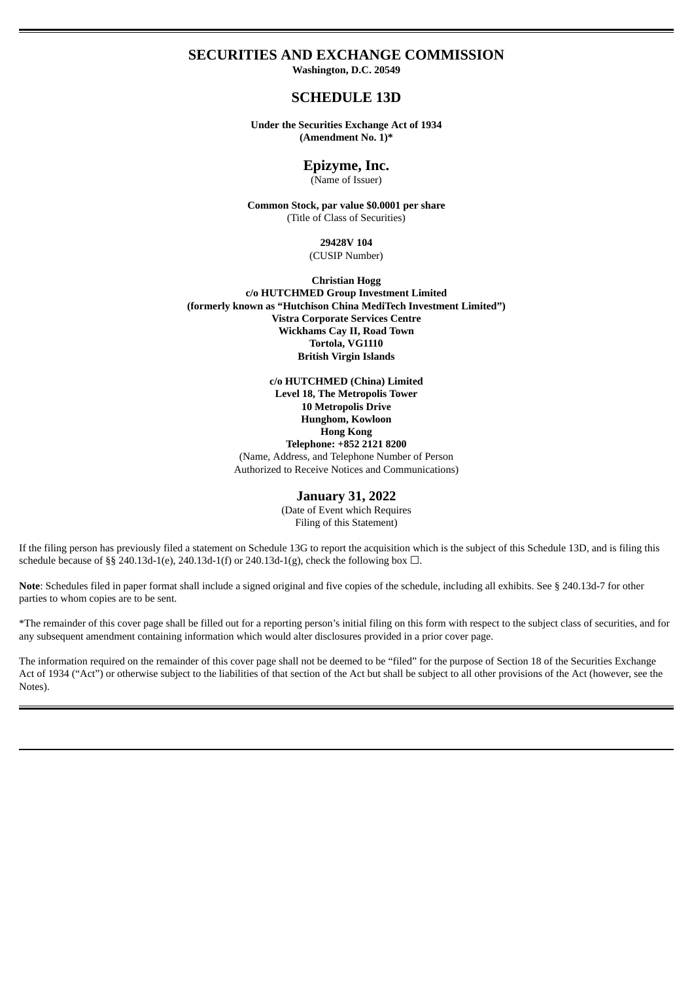### **SECURITIES AND EXCHANGE COMMISSION**

**Washington, D.C. 20549**

# **SCHEDULE 13D**

**Under the Securities Exchange Act of 1934 (Amendment No. 1)\***

### **Epizyme, Inc.**

(Name of Issuer)

**Common Stock, par value \$0.0001 per share** (Title of Class of Securities)

> **29428V 104** (CUSIP Number)

**Christian Hogg c/o HUTCHMED Group Investment Limited (formerly known as "Hutchison China MediTech Investment Limited") Vistra Corporate Services Centre Wickhams Cay II, Road Town Tortola, VG1110 British Virgin Islands**

> **c/o HUTCHMED (China) Limited Level 18, The Metropolis Tower 10 Metropolis Drive Hunghom, Kowloon Hong Kong Telephone: +852 2121 8200** (Name, Address, and Telephone Number of Person Authorized to Receive Notices and Communications)

#### **January 31, 2022**

(Date of Event which Requires Filing of this Statement)

If the filing person has previously filed a statement on Schedule 13G to report the acquisition which is the subject of this Schedule 13D, and is filing this schedule because of §§ 240.13d-1(e), 240.13d-1(f) or 240.13d-1(g), check the following box  $\Box$ .

Note: Schedules filed in paper format shall include a signed original and five copies of the schedule, including all exhibits. See § 240.13d-7 for other parties to whom copies are to be sent.

\*The remainder of this cover page shall be filled out for a reporting person's initial filing on this form with respect to the subject class of securities, and for any subsequent amendment containing information which would alter disclosures provided in a prior cover page.

The information required on the remainder of this cover page shall not be deemed to be "filed" for the purpose of Section 18 of the Securities Exchange Act of 1934 ("Act") or otherwise subject to the liabilities of that section of the Act but shall be subject to all other provisions of the Act (however, see the Notes).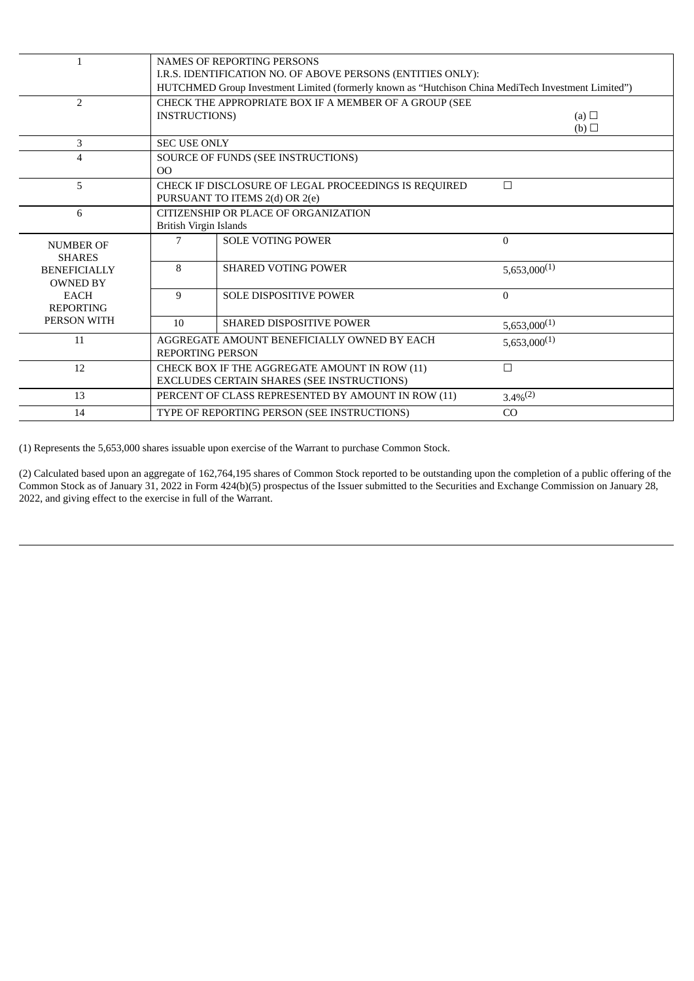| $\mathbf{1}$                           | <b>NAMES OF REPORTING PERSONS</b><br>I.R.S. IDENTIFICATION NO. OF ABOVE PERSONS (ENTITIES ONLY):<br>HUTCHMED Group Investment Limited (formerly known as "Hutchison China MediTech Investment Limited") |                                                                                                  |                   |  |  |  |
|----------------------------------------|---------------------------------------------------------------------------------------------------------------------------------------------------------------------------------------------------------|--------------------------------------------------------------------------------------------------|-------------------|--|--|--|
| $\overline{2}$                         | <b>INSTRUCTIONS</b>                                                                                                                                                                                     | CHECK THE APPROPRIATE BOX IF A MEMBER OF A GROUP (SEE                                            | (a) $\Box$<br>(b) |  |  |  |
| 3                                      | <b>SEC USE ONLY</b>                                                                                                                                                                                     |                                                                                                  |                   |  |  |  |
| 4                                      | 0 <sup>0</sup>                                                                                                                                                                                          | SOURCE OF FUNDS (SEE INSTRUCTIONS)                                                               |                   |  |  |  |
| 5                                      |                                                                                                                                                                                                         | $\Box$<br>CHECK IF DISCLOSURE OF LEGAL PROCEEDINGS IS REQUIRED<br>PURSUANT TO ITEMS 2(d) OR 2(e) |                   |  |  |  |
| 6                                      | CITIZENSHIP OR PLACE OF ORGANIZATION<br>British Virgin Islands                                                                                                                                          |                                                                                                  |                   |  |  |  |
| <b>NUMBER OF</b><br><b>SHARES</b>      | 7                                                                                                                                                                                                       | <b>SOLE VOTING POWER</b>                                                                         | $\Omega$          |  |  |  |
| <b>BENEFICIALLY</b><br><b>OWNED BY</b> | 8                                                                                                                                                                                                       | <b>SHARED VOTING POWER</b>                                                                       | $5,653,000^{(1)}$ |  |  |  |
| <b>EACH</b><br><b>REPORTING</b>        | 9                                                                                                                                                                                                       | <b>SOLE DISPOSITIVE POWER</b>                                                                    | $\Omega$          |  |  |  |
| PERSON WITH                            | 10                                                                                                                                                                                                      | <b>SHARED DISPOSITIVE POWER</b>                                                                  | $5,653,000^{(1)}$ |  |  |  |
| 11                                     |                                                                                                                                                                                                         | AGGREGATE AMOUNT BENEFICIALLY OWNED BY EACH<br><b>REPORTING PERSON</b>                           | $5,653,000^{(1)}$ |  |  |  |
| 12                                     | CHECK BOX IF THE AGGREGATE AMOUNT IN ROW (11)<br>EXCLUDES CERTAIN SHARES (SEE INSTRUCTIONS)                                                                                                             | $\Box$                                                                                           |                   |  |  |  |
| 13                                     |                                                                                                                                                                                                         | PERCENT OF CLASS REPRESENTED BY AMOUNT IN ROW (11)                                               | $3.4\%^{(2)}$     |  |  |  |
| 14                                     |                                                                                                                                                                                                         | TYPE OF REPORTING PERSON (SEE INSTRUCTIONS)                                                      | CO                |  |  |  |

(1) Represents the 5,653,000 shares issuable upon exercise of the Warrant to purchase Common Stock.

(2) Calculated based upon an aggregate of 162,764,195 shares of Common Stock reported to be outstanding upon the completion of a public offering of the Common Stock as of January 31, 2022 in Form 424(b)(5) prospectus of the Issuer submitted to the Securities and Exchange Commission on January 28, 2022, and giving effect to the exercise in full of the Warrant.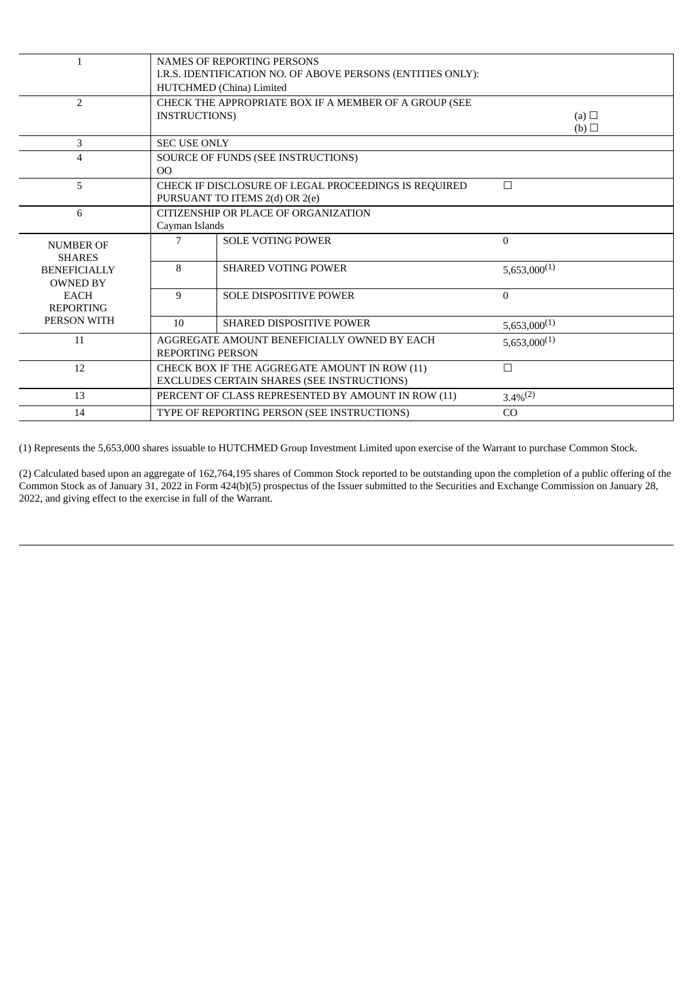|                                        | <b>NAMES OF REPORTING PERSONS</b><br>I.R.S. IDENTIFICATION NO. OF ABOVE PERSONS (ENTITIES ONLY):<br>HUTCHMED (China) Limited |                                                                                                  |                               |  |  |  |
|----------------------------------------|------------------------------------------------------------------------------------------------------------------------------|--------------------------------------------------------------------------------------------------|-------------------------------|--|--|--|
| 2                                      | <b>INSTRUCTIONS</b>                                                                                                          | CHECK THE APPROPRIATE BOX IF A MEMBER OF A GROUP (SEE                                            | (a) $\Box$<br>$(b)$ $\square$ |  |  |  |
| 3                                      | <b>SEC USE ONLY</b>                                                                                                          |                                                                                                  |                               |  |  |  |
| $\overline{4}$                         | 0 <sup>0</sup>                                                                                                               | SOURCE OF FUNDS (SEE INSTRUCTIONS)                                                               |                               |  |  |  |
| 5                                      |                                                                                                                              | $\Box$<br>CHECK IF DISCLOSURE OF LEGAL PROCEEDINGS IS REQUIRED<br>PURSUANT TO ITEMS 2(d) OR 2(e) |                               |  |  |  |
| 6                                      | CITIZENSHIP OR PLACE OF ORGANIZATION<br>Cayman Islands                                                                       |                                                                                                  |                               |  |  |  |
| <b>NUMBER OF</b><br><b>SHARES</b>      | 7                                                                                                                            | <b>SOLE VOTING POWER</b>                                                                         | $\Omega$                      |  |  |  |
| <b>BENEFICIALLY</b><br><b>OWNED BY</b> | 8                                                                                                                            | <b>SHARED VOTING POWER</b>                                                                       | $5,653,000^{(1)}$             |  |  |  |
| <b>EACH</b><br><b>REPORTING</b>        | 9                                                                                                                            | <b>SOLE DISPOSITIVE POWER</b>                                                                    | $\Omega$                      |  |  |  |
| PERSON WITH                            | 10                                                                                                                           | <b>SHARED DISPOSITIVE POWER</b>                                                                  | $5,653,000^{(1)}$             |  |  |  |
| 11                                     |                                                                                                                              | AGGREGATE AMOUNT BENEFICIALLY OWNED BY EACH<br><b>REPORTING PERSON</b>                           | $5,653,000^{(1)}$             |  |  |  |
| 12                                     |                                                                                                                              | CHECK BOX IF THE AGGREGATE AMOUNT IN ROW (11)<br>EXCLUDES CERTAIN SHARES (SEE INSTRUCTIONS)      | $\Box$                        |  |  |  |
| 13                                     |                                                                                                                              | PERCENT OF CLASS REPRESENTED BY AMOUNT IN ROW (11)                                               | $3.4\%^{(2)}$                 |  |  |  |
| 14                                     |                                                                                                                              | TYPE OF REPORTING PERSON (SEE INSTRUCTIONS)                                                      | CO                            |  |  |  |

(1) Represents the 5,653,000 shares issuable to HUTCHMED Group Investment Limited upon exercise of the Warrant to purchase Common Stock.

(2) Calculated based upon an aggregate of 162,764,195 shares of Common Stock reported to be outstanding upon the completion of a public offering of the Common Stock as of January 31, 2022 in Form 424(b)(5) prospectus of the Issuer submitted to the Securities and Exchange Commission on January 28, 2022, and giving effect to the exercise in full of the Warrant.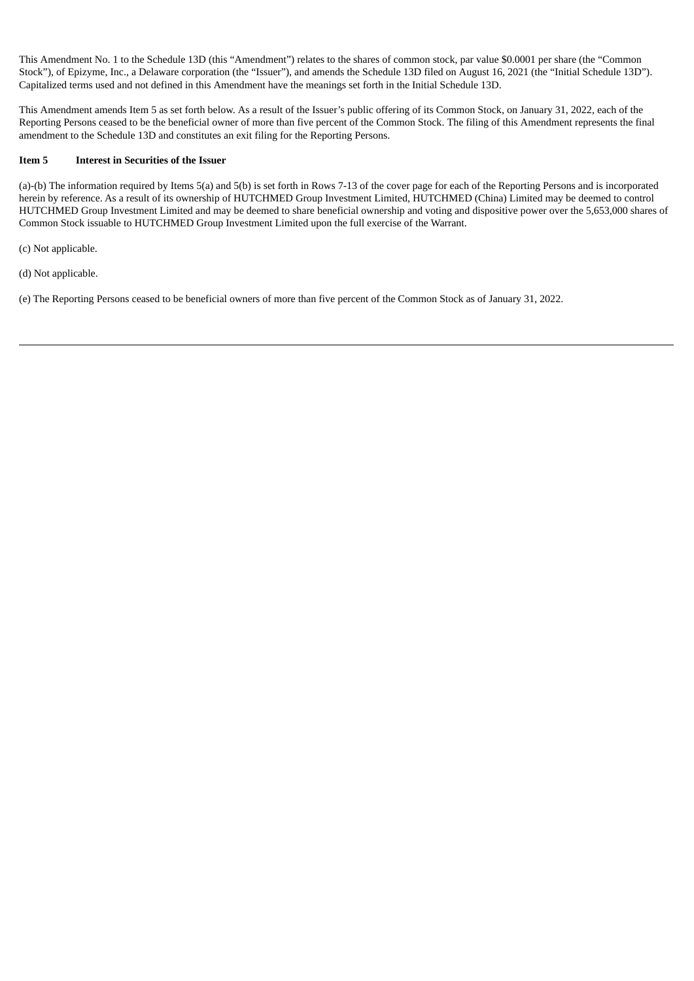This Amendment No. 1 to the Schedule 13D (this "Amendment") relates to the shares of common stock, par value \$0.0001 per share (the "Common Stock"), of Epizyme, Inc., a Delaware corporation (the "Issuer"), and amends the Schedule 13D filed on August 16, 2021 (the "Initial Schedule 13D"). Capitalized terms used and not defined in this Amendment have the meanings set forth in the Initial Schedule 13D.

This Amendment amends Item 5 as set forth below. As a result of the Issuer's public offering of its Common Stock, on January 31, 2022, each of the Reporting Persons ceased to be the beneficial owner of more than five percent of the Common Stock. The filing of this Amendment represents the final amendment to the Schedule 13D and constitutes an exit filing for the Reporting Persons.

# **Item 5 Interest in Securities of the Issuer**

(a)-(b) The information required by Items 5(a) and 5(b) is set forth in Rows 7-13 of the cover page for each of the Reporting Persons and is incorporated herein by reference. As a result of its ownership of HUTCHMED Group Investment Limited, HUTCHMED (China) Limited may be deemed to control HUTCHMED Group Investment Limited and may be deemed to share beneficial ownership and voting and dispositive power over the 5,653,000 shares of Common Stock issuable to HUTCHMED Group Investment Limited upon the full exercise of the Warrant.

(c) Not applicable.

(d) Not applicable.

(e) The Reporting Persons ceased to be beneficial owners of more than five percent of the Common Stock as of January 31, 2022.